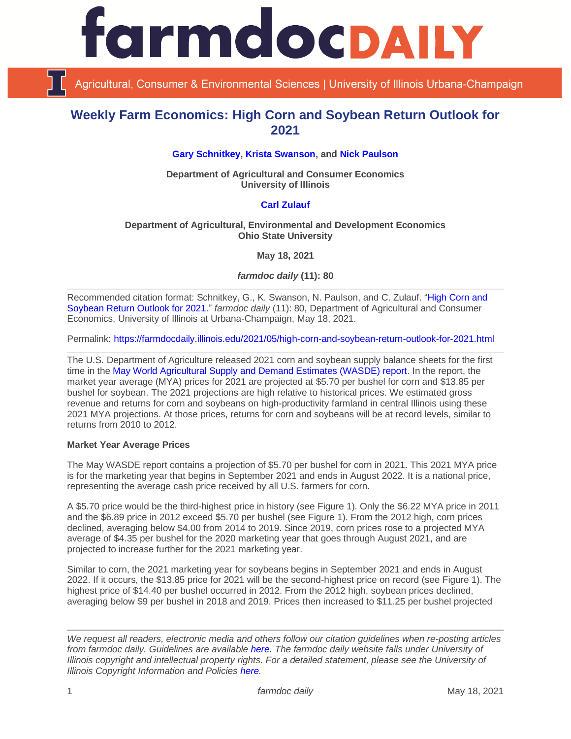

Agricultural, Consumer & Environmental Sciences | University of Illinois Urbana-Champaign

# **Weekly Farm Economics: High Corn and Soybean Return Outlook for 2021**

## **[Gary Schnitkey,](https://ace.illinois.edu/directory/schnitke) [Krista Swanson,](https://ace.illinois.edu/directory/krista) and [Nick Paulson](https://ace.illinois.edu/directory/npaulson)**

**Department of Agricultural and Consumer Economics University of Illinois**

### **[Carl Zulauf](http://aede.osu.edu/our-people/carl-zulauf)**

#### **Department of Agricultural, Environmental and Development Economics Ohio State University**

**May 18, 2021**

*farmdoc daily* **(11): 80**

Recommended citation format: Schnitkey, G., K. Swanson, N. Paulson, and C. Zulauf. ["High Corn and](https://farmdocdaily.illinois.edu/2021/05/high-corn-and-soybean-return-outlook-for-2021.html)  [Soybean Return Outlook for 2021.](https://farmdocdaily.illinois.edu/2021/05/high-corn-and-soybean-return-outlook-for-2021.html)" *farmdoc daily* (11): 80, Department of Agricultural and Consumer Economics, University of Illinois at Urbana-Champaign, May 18, 2021.

Permalink:<https://farmdocdaily.illinois.edu/2021/05/high-corn-and-soybean-return-outlook-for-2021.html>

The U.S. Department of Agriculture released 2021 corn and soybean supply balance sheets for the first time in the [May World Agricultural Supply and Demand Estimates \(WASDE\) report.](https://www.usda.gov/oce/commodity/wasde) In the report, the market year average (MYA) prices for 2021 are projected at \$5.70 per bushel for corn and \$13.85 per bushel for soybean. The 2021 projections are high relative to historical prices. We estimated gross revenue and returns for corn and soybeans on high-productivity farmland in central Illinois using these 2021 MYA projections. At those prices, returns for corn and soybeans will be at record levels, similar to returns from 2010 to 2012.

#### **Market Year Average Prices**

The May WASDE report contains a projection of \$5.70 per bushel for corn in 2021. This 2021 MYA price is for the marketing year that begins in September 2021 and ends in August 2022. It is a national price, representing the average cash price received by all U.S. farmers for corn.

A \$5.70 price would be the third-highest price in history (see Figure 1). Only the \$6.22 MYA price in 2011 and the \$6.89 price in 2012 exceed \$5.70 per bushel (see Figure 1). From the 2012 high, corn prices declined, averaging below \$4.00 from 2014 to 2019. Since 2019, corn prices rose to a projected MYA average of \$4.35 per bushel for the 2020 marketing year that goes through August 2021, and are projected to increase further for the 2021 marketing year.

Similar to corn, the 2021 marketing year for soybeans begins in September 2021 and ends in August 2022. If it occurs, the \$13.85 price for 2021 will be the second-highest price on record (see Figure 1). The highest price of \$14.40 per bushel occurred in 2012. From the 2012 high, soybean prices declined, averaging below \$9 per bushel in 2018 and 2019. Prices then increased to \$11.25 per bushel projected

*We request all readers, electronic media and others follow our citation guidelines when re-posting articles from farmdoc daily. Guidelines are available [here.](http://farmdocdaily.illinois.edu/citationguide.html) The farmdoc daily website falls under University of Illinois copyright and intellectual property rights. For a detailed statement, please see the University of Illinois Copyright Information and Policies [here.](http://www.cio.illinois.edu/policies/copyright/)*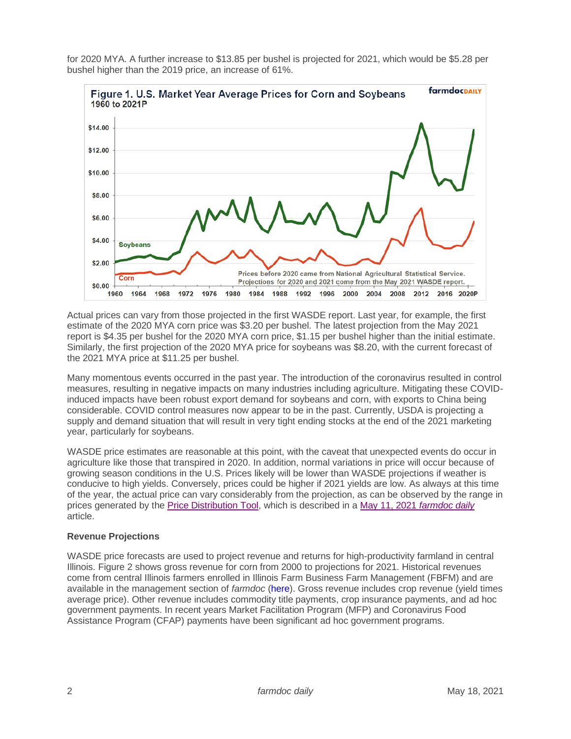

for 2020 MYA. A further increase to \$13.85 per bushel is projected for 2021, which would be \$5.28 per bushel higher than the 2019 price, an increase of 61%.

Actual prices can vary from those projected in the first WASDE report. Last year, for example, the first estimate of the 2020 MYA corn price was \$3.20 per bushel. The latest projection from the May 2021 report is \$4.35 per bushel for the 2020 MYA corn price, \$1.15 per bushel higher than the initial estimate. Similarly, the first projection of the 2020 MYA price for soybeans was \$8.20, with the current forecast of the 2021 MYA price at \$11.25 per bushel.

Many momentous events occurred in the past year. The introduction of the coronavirus resulted in control measures, resulting in negative impacts on many industries including agriculture. Mitigating these COVIDinduced impacts have been robust export demand for soybeans and corn, with exports to China being considerable. COVID control measures now appear to be in the past. Currently, USDA is projecting a supply and demand situation that will result in very tight ending stocks at the end of the 2021 marketing year, particularly for soybeans.

WASDE price estimates are reasonable at this point, with the caveat that unexpected events do occur in agriculture like those that transpired in 2020. In addition, normal variations in price will occur because of growing season conditions in the U.S. Prices likely will be lower than WASDE projections if weather is conducive to high yields. Conversely, prices could be higher if 2021 yields are low. As always at this time of the year, the actual price can vary considerably from the projection, as can be observed by the range in prices generated by the [Price Distribution Tool,](https://fd-tools.ncsa.illinois.edu/) which is described in a [May 11, 2021](https://farmdocdaily.illinois.edu/2021/05/chances-of-lower-harvest-time-prices-on-corn-and-soybeans-futures-contracts-in-2021.html) *farmdoc daily* article.

# **Revenue Projections**

WASDE price forecasts are used to project revenue and returns for high-productivity farmland in central Illinois. Figure 2 shows gross revenue for corn from 2000 to projections for 2021. Historical revenues come from central Illinois farmers enrolled in Illinois Farm Business Farm Management (FBFM) and are available in the management section of *farmdoc* [\(here\)](https://farmdoc.illinois.edu/handbook/historic-corn-soybeans-wheat-and-double-crop-soybeans). Gross revenue includes crop revenue (yield times average price). Other revenue includes commodity title payments, crop insurance payments, and ad hoc government payments. In recent years Market Facilitation Program (MFP) and Coronavirus Food Assistance Program (CFAP) payments have been significant ad hoc government programs.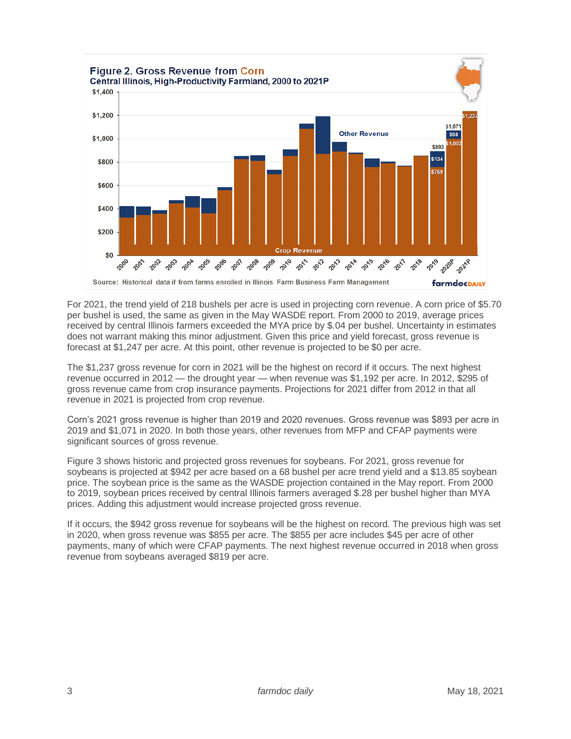

For 2021, the trend yield of 218 bushels per acre is used in projecting corn revenue. A corn price of \$5.70 per bushel is used, the same as given in the May WASDE report. From 2000 to 2019, average prices received by central Illinois farmers exceeded the MYA price by \$.04 per bushel. Uncertainty in estimates does not warrant making this minor adjustment. Given this price and yield forecast, gross revenue is forecast at \$1,247 per acre. At this point, other revenue is projected to be \$0 per acre.

The \$1,237 gross revenue for corn in 2021 will be the highest on record if it occurs. The next highest revenue occurred in 2012 — the drought year — when revenue was \$1,192 per acre. In 2012, \$295 of gross revenue came from crop insurance payments. Projections for 2021 differ from 2012 in that all revenue in 2021 is projected from crop revenue.

Corn's 2021 gross revenue is higher than 2019 and 2020 revenues. Gross revenue was \$893 per acre in 2019 and \$1,071 in 2020. In both those years, other revenues from MFP and CFAP payments were significant sources of gross revenue.

Figure 3 shows historic and projected gross revenues for soybeans. For 2021, gross revenue for soybeans is projected at \$942 per acre based on a 68 bushel per acre trend yield and a \$13.85 soybean price. The soybean price is the same as the WASDE projection contained in the May report. From 2000 to 2019, soybean prices received by central Illinois farmers averaged \$.28 per bushel higher than MYA prices. Adding this adjustment would increase projected gross revenue.

If it occurs, the \$942 gross revenue for soybeans will be the highest on record. The previous high was set in 2020, when gross revenue was \$855 per acre. The \$855 per acre includes \$45 per acre of other payments, many of which were CFAP payments. The next highest revenue occurred in 2018 when gross revenue from soybeans averaged \$819 per acre.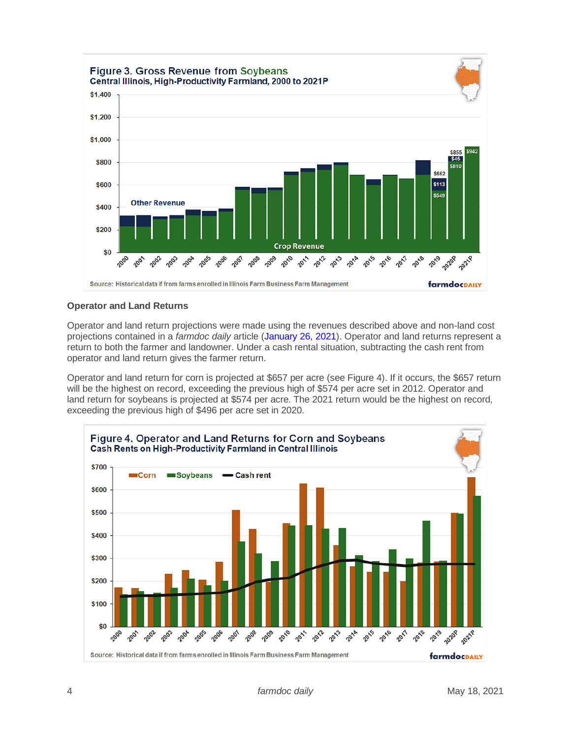

# **Operator and Land Returns**

Operator and land return projections were made using the revenues described above and non-land cost projections contained in a *farmdoc daily* article [\(January 26, 2021\)](https://farmdocdaily.illinois.edu/2021/01/revised-2020-and-2021-crop-budgets-indicate-higher-returns.html). Operator and land returns represent a return to both the farmer and landowner. Under a cash rental situation, subtracting the cash rent from operator and land return gives the farmer return.

Operator and land return for corn is projected at \$657 per acre (see Figure 4). If it occurs, the \$657 return will be the highest on record, exceeding the previous high of \$574 per acre set in 2012. Operator and land return for soybeans is projected at \$574 per acre. The 2021 return would be the highest on record, exceeding the previous high of \$496 per acre set in 2020.